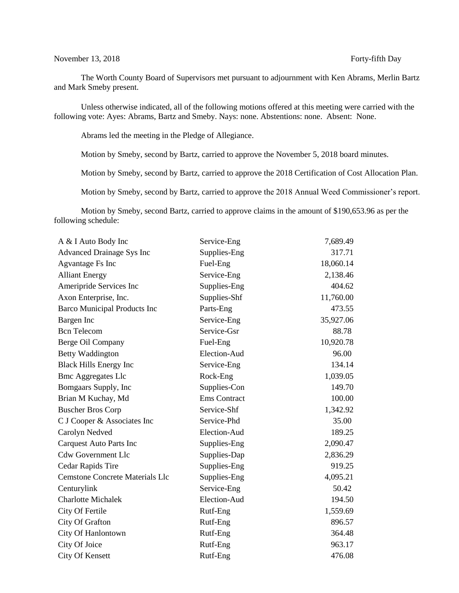# November 13, 2018 Forty-fifth Day

The Worth County Board of Supervisors met pursuant to adjournment with Ken Abrams, Merlin Bartz and Mark Smeby present.

Unless otherwise indicated, all of the following motions offered at this meeting were carried with the following vote: Ayes: Abrams, Bartz and Smeby. Nays: none. Abstentions: none. Absent: None.

Abrams led the meeting in the Pledge of Allegiance.

Motion by Smeby, second by Bartz, carried to approve the November 5, 2018 board minutes.

Motion by Smeby, second by Bartz, carried to approve the 2018 Certification of Cost Allocation Plan.

Motion by Smeby, second by Bartz, carried to approve the 2018 Annual Weed Commissioner's report.

Motion by Smeby, second Bartz, carried to approve claims in the amount of \$190,653.96 as per the following schedule:

| A & I Auto Body Inc                    | Service-Eng         | 7,689.49  |
|----------------------------------------|---------------------|-----------|
| <b>Advanced Drainage Sys Inc</b>       | Supplies-Eng        | 317.71    |
| <b>Agvantage Fs Inc</b>                | Fuel-Eng            | 18,060.14 |
| <b>Alliant Energy</b>                  | Service-Eng         | 2,138.46  |
| Ameripride Services Inc                | Supplies-Eng        | 404.62    |
| Axon Enterprise, Inc.                  | Supplies-Shf        | 11,760.00 |
| <b>Barco Municipal Products Inc</b>    | Parts-Eng           | 473.55    |
| Bargen Inc                             | Service-Eng         | 35,927.06 |
| <b>Bcn</b> Telecom                     | Service-Gsr         | 88.78     |
| Berge Oil Company                      | Fuel-Eng            | 10,920.78 |
| Betty Waddington                       | Election-Aud        | 96.00     |
| <b>Black Hills Energy Inc</b>          | Service-Eng         | 134.14    |
| <b>Bmc Aggregates Llc</b>              | Rock-Eng            | 1,039.05  |
| Bomgaars Supply, Inc                   | Supplies-Con        | 149.70    |
| Brian M Kuchay, Md                     | <b>Ems</b> Contract | 100.00    |
| <b>Buscher Bros Corp</b>               | Service-Shf         | 1,342.92  |
| C J Cooper & Associates Inc            | Service-Phd         | 35.00     |
| Carolyn Nedved                         | Election-Aud        | 189.25    |
| <b>Carquest Auto Parts Inc</b>         | Supplies-Eng        | 2,090.47  |
| <b>Cdw Government Llc</b>              | Supplies-Dap        | 2,836.29  |
| <b>Cedar Rapids Tire</b>               | Supplies-Eng        | 919.25    |
| <b>Cemstone Concrete Materials Llc</b> | Supplies-Eng        | 4,095.21  |
| Centurylink                            | Service-Eng         | 50.42     |
| <b>Charlotte Michalek</b>              | Election-Aud        | 194.50    |
| City Of Fertile                        | Rutf-Eng            | 1,559.69  |
| City Of Grafton                        | Rutf-Eng            | 896.57    |
| City Of Hanlontown                     | Rutf-Eng            | 364.48    |
| City Of Joice                          | Rutf-Eng            | 963.17    |
| City Of Kensett                        | Rutf-Eng            | 476.08    |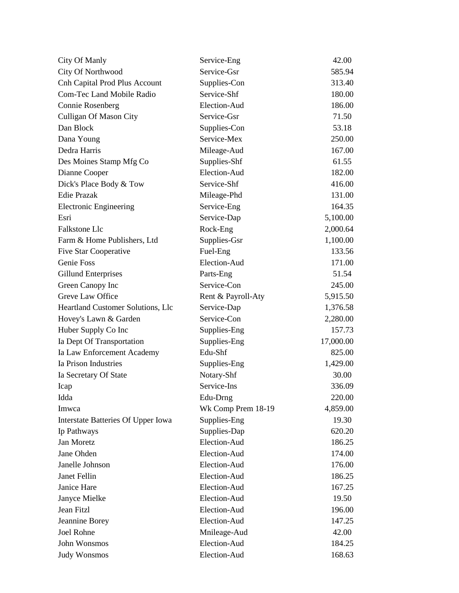| City Of Manly                        | Service-Eng        | 42.00     |
|--------------------------------------|--------------------|-----------|
| City Of Northwood                    | Service-Gsr        | 585.94    |
| <b>Cnh Capital Prod Plus Account</b> | Supplies-Con       | 313.40    |
| <b>Com-Tec Land Mobile Radio</b>     | Service-Shf        | 180.00    |
| <b>Connie Rosenberg</b>              | Election-Aud       | 186.00    |
| <b>Culligan Of Mason City</b>        | Service-Gsr        | 71.50     |
| Dan Block                            | Supplies-Con       | 53.18     |
| Dana Young                           | Service-Mex        | 250.00    |
| Dedra Harris                         | Mileage-Aud        | 167.00    |
| Des Moines Stamp Mfg Co              | Supplies-Shf       | 61.55     |
| Dianne Cooper                        | Election-Aud       | 182.00    |
| Dick's Place Body & Tow              | Service-Shf        | 416.00    |
| <b>Edie Prazak</b>                   | Mileage-Phd        | 131.00    |
| <b>Electronic Engineering</b>        | Service-Eng        | 164.35    |
| Esri                                 | Service-Dap        | 5,100.00  |
| <b>Falkstone Llc</b>                 | Rock-Eng           | 2,000.64  |
| Farm & Home Publishers, Ltd          | Supplies-Gsr       | 1,100.00  |
| <b>Five Star Cooperative</b>         | Fuel-Eng           | 133.56    |
| Genie Foss                           | Election-Aud       | 171.00    |
| Gillund Enterprises                  | Parts-Eng          | 51.54     |
| Green Canopy Inc                     | Service-Con        | 245.00    |
| Greve Law Office                     | Rent & Payroll-Aty | 5,915.50  |
| Heartland Customer Solutions, Llc    | Service-Dap        | 1,376.58  |
| Hovey's Lawn & Garden                | Service-Con        | 2,280.00  |
| Huber Supply Co Inc                  | Supplies-Eng       | 157.73    |
| Ia Dept Of Transportation            | Supplies-Eng       | 17,000.00 |
| Ia Law Enforcement Academy           | Edu-Shf            | 825.00    |
| Ia Prison Industries                 | Supplies-Eng       | 1,429.00  |
| Ia Secretary Of State                | Notary-Shf         | 30.00     |
| Icap                                 | Service-Ins        | 336.09    |
| Idda                                 | Edu-Drng           | 220.00    |
| Imwca                                | Wk Comp Prem 18-19 | 4,859.00  |
| Interstate Batteries Of Upper Iowa   | Supplies-Eng       | 19.30     |
| Ip Pathways                          | Supplies-Dap       | 620.20    |
| Jan Moretz                           | Election-Aud       | 186.25    |
| Jane Ohden                           | Election-Aud       | 174.00    |
| Janelle Johnson                      | Election-Aud       | 176.00    |
| Janet Fellin                         | Election-Aud       | 186.25    |
| Janice Hare                          | Election-Aud       | 167.25    |
| Janyce Mielke                        | Election-Aud       | 19.50     |
| Jean Fitzl                           | Election-Aud       | 196.00    |
| Jeannine Borey                       | Election-Aud       | 147.25    |
| <b>Joel Rohne</b>                    | Mnileage-Aud       | 42.00     |
| John Wonsmos                         | Election-Aud       | 184.25    |
| <b>Judy Wonsmos</b>                  | Election-Aud       | 168.63    |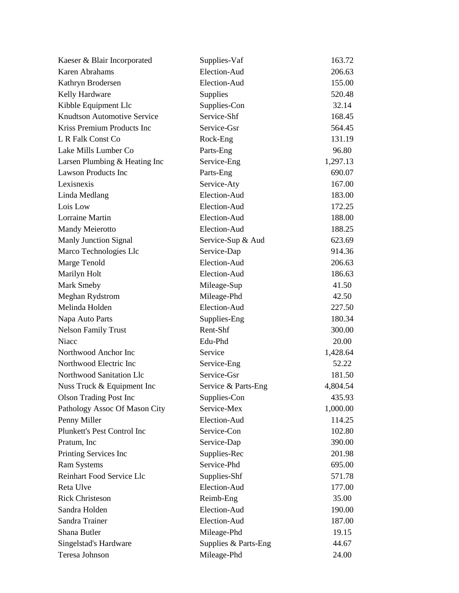| Kaeser & Blair Incorporated        | Supplies-Vaf         | 163.72   |
|------------------------------------|----------------------|----------|
| Karen Abrahams                     | Election-Aud         | 206.63   |
| Kathryn Brodersen                  | Election-Aud         | 155.00   |
| Kelly Hardware                     | Supplies             | 520.48   |
| Kibble Equipment Llc               | Supplies-Con         | 32.14    |
| <b>Knudtson Automotive Service</b> | Service-Shf          | 168.45   |
| Kriss Premium Products Inc         | Service-Gsr          | 564.45   |
| L R Falk Const Co                  | Rock-Eng             | 131.19   |
| Lake Mills Lumber Co               | Parts-Eng            | 96.80    |
| Larsen Plumbing & Heating Inc      | Service-Eng          | 1,297.13 |
| <b>Lawson Products Inc</b>         | Parts-Eng            | 690.07   |
| Lexisnexis                         | Service-Aty          | 167.00   |
| Linda Medlang                      | Election-Aud         | 183.00   |
| Lois Low                           | Election-Aud         | 172.25   |
| Lorraine Martin                    | Election-Aud         | 188.00   |
| <b>Mandy Meierotto</b>             | Election-Aud         | 188.25   |
| <b>Manly Junction Signal</b>       | Service-Sup & Aud    | 623.69   |
| Marco Technologies Llc             | Service-Dap          | 914.36   |
| Marge Tenold                       | Election-Aud         | 206.63   |
| Marilyn Holt                       | Election-Aud         | 186.63   |
| Mark Smeby                         | Mileage-Sup          | 41.50    |
| Meghan Rydstrom                    | Mileage-Phd          | 42.50    |
| Melinda Holden                     | Election-Aud         | 227.50   |
| Napa Auto Parts                    | Supplies-Eng         | 180.34   |
| <b>Nelson Family Trust</b>         | Rent-Shf             | 300.00   |
| Niacc                              | Edu-Phd              | 20.00    |
| Northwood Anchor Inc               | Service              | 1,428.64 |
| Northwood Electric Inc             | Service-Eng          | 52.22    |
| Northwood Sanitation Llc           | Service-Gsr          | 181.50   |
| Nuss Truck & Equipment Inc         | Service & Parts-Eng  | 4,804.54 |
| <b>Olson Trading Post Inc</b>      | Supplies-Con         | 435.93   |
| Pathology Assoc Of Mason City      | Service-Mex          | 1,000.00 |
| Penny Miller                       | Election-Aud         | 114.25   |
| Plunkett's Pest Control Inc        | Service-Con          | 102.80   |
| Pratum, Inc                        | Service-Dap          | 390.00   |
| Printing Services Inc              | Supplies-Rec         | 201.98   |
| <b>Ram Systems</b>                 | Service-Phd          | 695.00   |
| <b>Reinhart Food Service Llc</b>   | Supplies-Shf         | 571.78   |
| <b>Reta Ulve</b>                   | Election-Aud         | 177.00   |
| <b>Rick Christeson</b>             | Reimb-Eng            | 35.00    |
| Sandra Holden                      | Election-Aud         | 190.00   |
| Sandra Trainer                     | Election-Aud         | 187.00   |
| Shana Butler                       | Mileage-Phd          | 19.15    |
| Singelstad's Hardware              | Supplies & Parts-Eng | 44.67    |
| Teresa Johnson                     | Mileage-Phd          | 24.00    |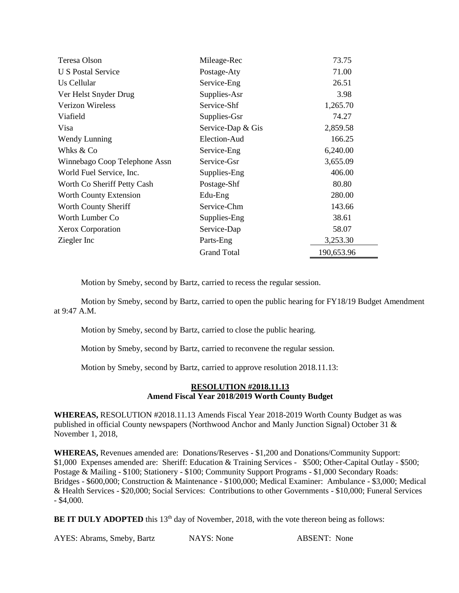| Teresa Olson                  | Mileage-Rec        | 73.75      |
|-------------------------------|--------------------|------------|
| U S Postal Service            | Postage-Aty        | 71.00      |
| Us Cellular                   | Service-Eng        | 26.51      |
| Ver Helst Snyder Drug         | Supplies-Asr       | 3.98       |
| <b>Verizon Wireless</b>       | Service-Shf        | 1,265.70   |
| Viafield                      | Supplies-Gsr       | 74.27      |
| Visa                          | Service-Dap & Gis  | 2,859.58   |
| Wendy Lunning                 | Election-Aud       | 166.25     |
| Whks & Co                     | Service-Eng        | 6,240.00   |
| Winnebago Coop Telephone Assn | Service-Gsr        | 3,655.09   |
| World Fuel Service, Inc.      | Supplies-Eng       | 406.00     |
| Worth Co Sheriff Petty Cash   | Postage-Shf        | 80.80      |
| Worth County Extension        | Edu-Eng            | 280.00     |
| Worth County Sheriff          | Service-Chm        | 143.66     |
| Worth Lumber Co               | Supplies-Eng       | 38.61      |
| Xerox Corporation             | Service-Dap        | 58.07      |
| Ziegler Inc                   | Parts-Eng          | 3,253.30   |
|                               | <b>Grand Total</b> | 190,653.96 |

Motion by Smeby, second by Bartz, carried to recess the regular session.

Motion by Smeby, second by Bartz, carried to open the public hearing for FY18/19 Budget Amendment at  $9.47 \text{ A} \text{ M}$ 

Motion by Smeby, second by Bartz, carried to close the public hearing.

Motion by Smeby, second by Bartz, carried to reconvene the regular session.

Motion by Smeby, second by Bartz, carried to approve resolution 2018.11.13:

## **RESOLUTION #2018.11.13 Amend Fiscal Year 2018/2019 Worth County Budget**

**WHEREAS,** RESOLUTION #2018.11.13 Amends Fiscal Year 2018-2019 Worth County Budget as was published in official County newspapers (Northwood Anchor and Manly Junction Signal) October 31 & November 1, 2018,

**WHEREAS,** Revenues amended are: Donations/Reserves - \$1,200 and Donations/Community Support: \$1,000 Expenses amended are: Sheriff: Education & Training Services - \$500; Other-Capital Outlay - \$500; Postage & Mailing - \$100; Stationery - \$100; Community Support Programs - \$1,000 Secondary Roads: Bridges - \$600,000; Construction & Maintenance - \$100,000; Medical Examiner: Ambulance - \$3,000; Medical & Health Services - \$20,000; Social Services: Contributions to other Governments - \$10,000; Funeral Services - \$4,000.

**BE IT DULY ADOPTED** this 13<sup>th</sup> day of November, 2018, with the vote thereon being as follows:

AYES: Abrams, Smeby, Bartz NAYS: None ABSENT: None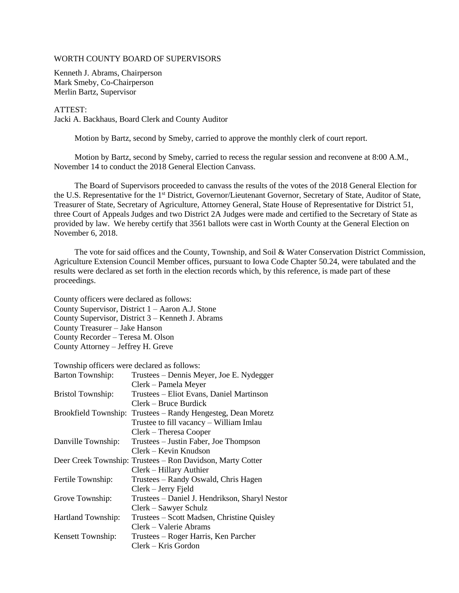### WORTH COUNTY BOARD OF SUPERVISORS

Kenneth J. Abrams, Chairperson Mark Smeby, Co-Chairperson Merlin Bartz, Supervisor

#### ATTEST:

Jacki A. Backhaus, Board Clerk and County Auditor

Motion by Bartz, second by Smeby, carried to approve the monthly clerk of court report.

 Motion by Bartz, second by Smeby, carried to recess the regular session and reconvene at 8:00 A.M., November 14 to conduct the 2018 General Election Canvass.

 The Board of Supervisors proceeded to canvass the results of the votes of the 2018 General Election for the U.S. Representative for the 1st District, Governor/Lieutenant Governor, Secretary of State, Auditor of State, Treasurer of State, Secretary of Agriculture, Attorney General, State House of Representative for District 51, three Court of Appeals Judges and two District 2A Judges were made and certified to the Secretary of State as provided by law. We hereby certify that 3561 ballots were cast in Worth County at the General Election on November 6, 2018.

 The vote for said offices and the County, Township, and Soil & Water Conservation District Commission, Agriculture Extension Council Member offices, pursuant to Iowa Code Chapter 50.24, were tabulated and the results were declared as set forth in the election records which, by this reference, is made part of these proceedings.

County officers were declared as follows: County Supervisor, District 1 – Aaron A.J. Stone County Supervisor, District 3 – Kenneth J. Abrams County Treasurer – Jake Hanson County Recorder – Teresa M. Olson County Attorney – Jeffrey H. Greve

Township officers were declared as follows:

| Barton Township:         | Trustees – Dennis Meyer, Joe E. Nydegger                   |
|--------------------------|------------------------------------------------------------|
|                          | Clerk – Pamela Meyer                                       |
| <b>Bristol Township:</b> | Trustees – Eliot Evans, Daniel Martinson                   |
|                          | $Clerk - Bruce Burdict$                                    |
| Brookfield Township:     | Trustees – Randy Hengesteg, Dean Moretz                    |
|                          | Trustee to fill vacancy – William Imlau                    |
|                          | $Clerk - Theresa Cooper$                                   |
| Danville Township:       | Trustees – Justin Faber, Joe Thompson                      |
|                          | Clerk – Kevin Knudson                                      |
|                          | Deer Creek Township: Trustees – Ron Davidson, Marty Cotter |
|                          | Clerk – Hillary Authier                                    |
| Fertile Township:        | Trustees – Randy Oswald, Chris Hagen                       |
|                          | Clerk – Jerry Fjeld                                        |
| Grove Township:          | Trustees – Daniel J. Hendrikson, Sharyl Nestor             |
|                          | Clerk - Sawyer Schulz                                      |
| Hartland Township:       | Trustees – Scott Madsen, Christine Quisley                 |
|                          | Clerk – Valerie Abrams                                     |
| Kensett Township:        | Trustees – Roger Harris, Ken Parcher                       |
|                          | Clerk – Kris Gordon                                        |